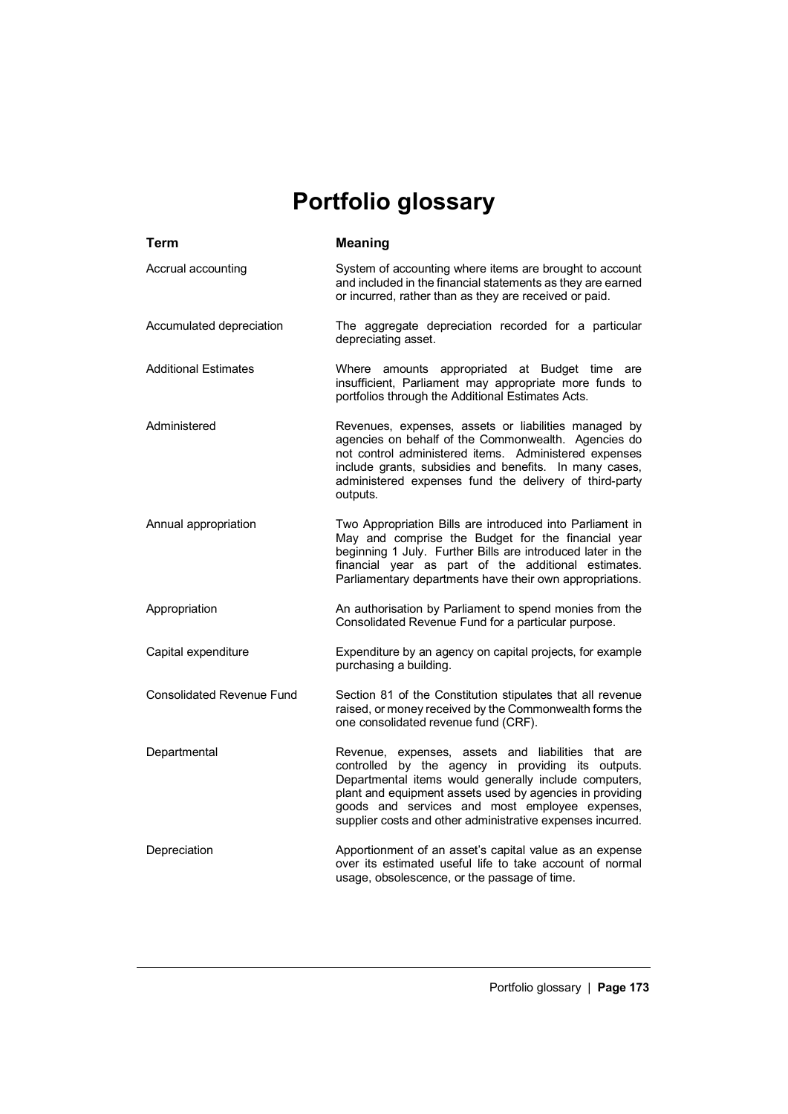## **Portfolio glossary**

| Term                             | <b>Meaning</b>                                                                                                                                                                                                                                                                                                                                |
|----------------------------------|-----------------------------------------------------------------------------------------------------------------------------------------------------------------------------------------------------------------------------------------------------------------------------------------------------------------------------------------------|
| Accrual accounting               | System of accounting where items are brought to account<br>and included in the financial statements as they are earned<br>or incurred, rather than as they are received or paid.                                                                                                                                                              |
| Accumulated depreciation         | The aggregate depreciation recorded for a particular<br>depreciating asset.                                                                                                                                                                                                                                                                   |
| <b>Additional Estimates</b>      | Where amounts appropriated at Budget time are<br>insufficient, Parliament may appropriate more funds to<br>portfolios through the Additional Estimates Acts.                                                                                                                                                                                  |
| Administered                     | Revenues, expenses, assets or liabilities managed by<br>agencies on behalf of the Commonwealth. Agencies do<br>not control administered items. Administered expenses<br>include grants, subsidies and benefits. In many cases,<br>administered expenses fund the delivery of third-party<br>outputs.                                          |
| Annual appropriation             | Two Appropriation Bills are introduced into Parliament in<br>May and comprise the Budget for the financial year<br>beginning 1 July. Further Bills are introduced later in the<br>financial year as part of the additional estimates.<br>Parliamentary departments have their own appropriations.                                             |
| Appropriation                    | An authorisation by Parliament to spend monies from the<br>Consolidated Revenue Fund for a particular purpose.                                                                                                                                                                                                                                |
| Capital expenditure              | Expenditure by an agency on capital projects, for example<br>purchasing a building.                                                                                                                                                                                                                                                           |
| <b>Consolidated Revenue Fund</b> | Section 81 of the Constitution stipulates that all revenue<br>raised, or money received by the Commonwealth forms the<br>one consolidated revenue fund (CRF).                                                                                                                                                                                 |
| Departmental                     | Revenue, expenses, assets and liabilities that are<br>controlled by the agency in providing its outputs.<br>Departmental items would generally include computers,<br>plant and equipment assets used by agencies in providing<br>goods and services and most employee expenses,<br>supplier costs and other administrative expenses incurred. |
| Depreciation                     | Apportionment of an asset's capital value as an expense<br>over its estimated useful life to take account of normal<br>usage, obsolescence, or the passage of time.                                                                                                                                                                           |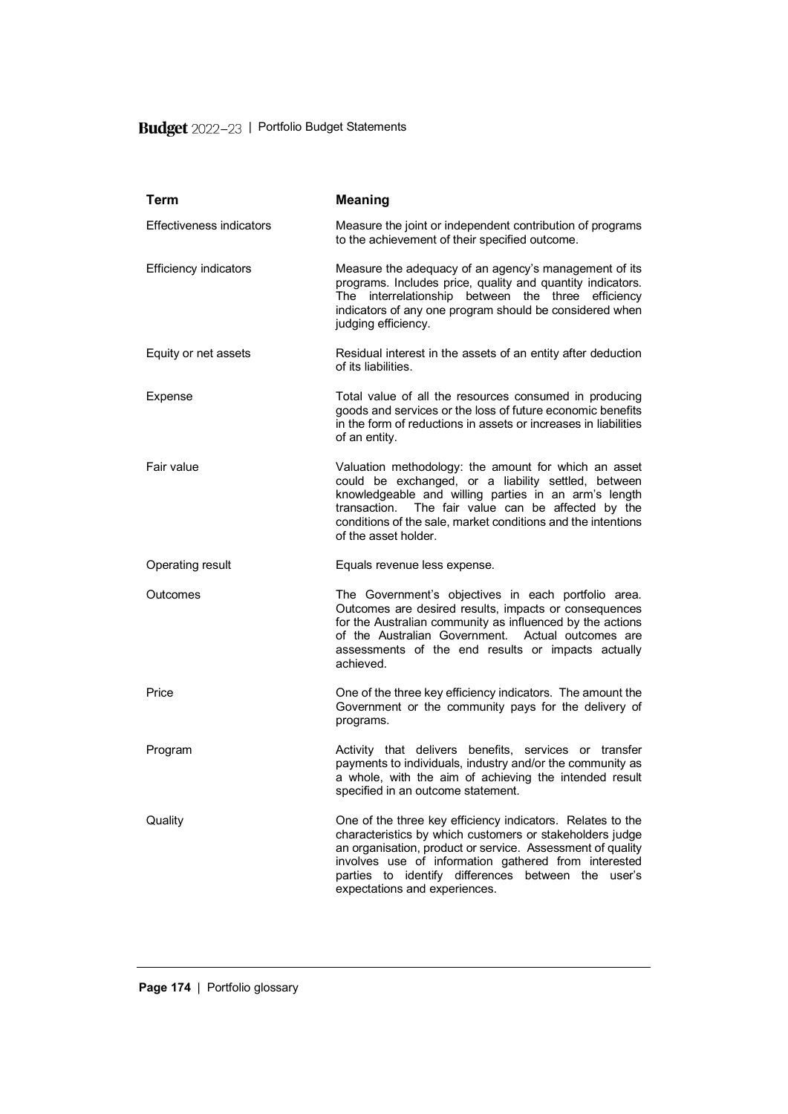## Budget 2022-23 | Portfolio Budget Statements

| <b>Term</b>                     | <b>Meaning</b>                                                                                                                                                                                                                                                                                                                      |
|---------------------------------|-------------------------------------------------------------------------------------------------------------------------------------------------------------------------------------------------------------------------------------------------------------------------------------------------------------------------------------|
| <b>Effectiveness indicators</b> | Measure the joint or independent contribution of programs<br>to the achievement of their specified outcome.                                                                                                                                                                                                                         |
| <b>Efficiency indicators</b>    | Measure the adequacy of an agency's management of its<br>programs. Includes price, quality and quantity indicators.<br>The interrelationship between the three efficiency<br>indicators of any one program should be considered when<br>judging efficiency.                                                                         |
| Equity or net assets            | Residual interest in the assets of an entity after deduction<br>of its liabilities.                                                                                                                                                                                                                                                 |
| Expense                         | Total value of all the resources consumed in producing<br>goods and services or the loss of future economic benefits<br>in the form of reductions in assets or increases in liabilities<br>of an entity.                                                                                                                            |
| Fair value                      | Valuation methodology: the amount for which an asset<br>could be exchanged, or a liability settled, between<br>knowledgeable and willing parties in an arm's length<br>transaction. The fair value can be affected by the<br>conditions of the sale, market conditions and the intentions<br>of the asset holder.                   |
| Operating result                | Equals revenue less expense.                                                                                                                                                                                                                                                                                                        |
| Outcomes                        | The Government's objectives in each portfolio area.<br>Outcomes are desired results, impacts or consequences<br>for the Australian community as influenced by the actions<br>of the Australian Government. Actual outcomes are<br>assessments of the end results or impacts actually<br>achieved.                                   |
| Price                           | One of the three key efficiency indicators. The amount the<br>Government or the community pays for the delivery of<br>programs.                                                                                                                                                                                                     |
| Program                         | Activity that delivers benefits, services or transfer<br>payments to individuals, industry and/or the community as<br>a whole, with the aim of achieving the intended result<br>specified in an outcome statement.                                                                                                                  |
| Quality                         | One of the three key efficiency indicators. Relates to the<br>characteristics by which customers or stakeholders judge<br>an organisation, product or service. Assessment of quality<br>involves use of information gathered from interested<br>parties to identify differences between the user's<br>expectations and experiences. |